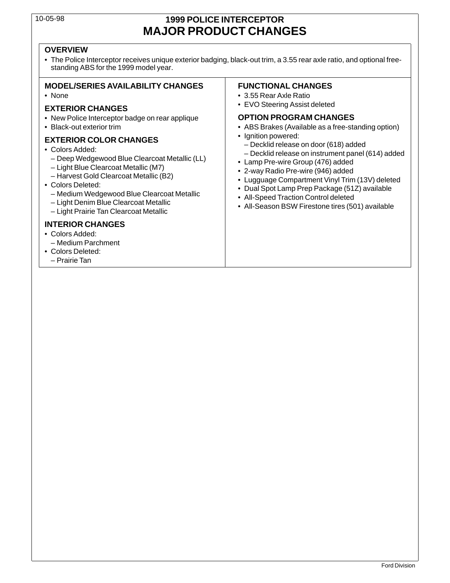## 10-05-98 **1999 POLICE INTERCEPTOR MAJOR PRODUCT CHANGES**

### **OVERVIEW**

• The Police Interceptor receives unique exterior badging, black-out trim, a 3.55 rear axle ratio, and optional freestanding ABS for the 1999 model year.

### **MODEL/SERIES AVAILABILITY CHANGES FUNCTIONAL CHANGES**

- New Police Interceptor badge on rear applique **DPTION PROGRAM CHANGES**
- 

- -
	-
	-
- -
	-
	-

### **INTERIOR CHANGES**

- Colors Added:
- Medium Parchment
- Colors Deleted:
- Prairie Tan

- None 3.55 Rear Axle Ratio
- EVO Steering Assist deleted **EXTERIOR CHANGES**

- Black-out exterior trim  **ABS Brakes (Available as a free-standing option)** 
	-
- EXTERIOR COLOR CHANGES<br>
 Colors Added:<br>
 Decklid release on door (618) added<br>
 Decklid release on door (618) added<br>
 Decklid release on door (618) added<br>
 Decklid release on door (618) added<br>
 Lamp Pre-wire Group (4
	-
	-
	-
	-
	-
	-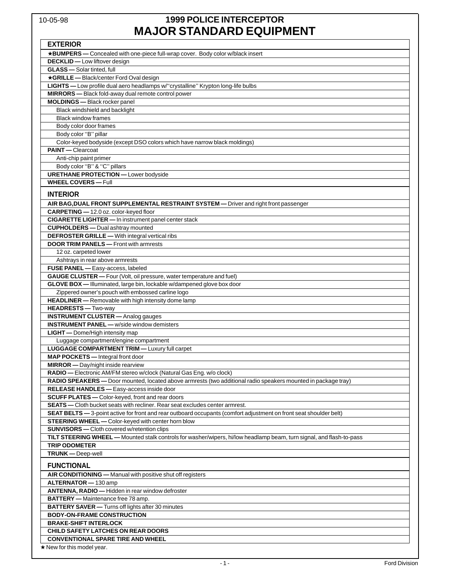# 10-05-98 **1999 POLICE INTERCEPTOR MAJOR STANDARD EQUIPMENT**

| <b>EXTERIOR</b>                                                                                                      |
|----------------------------------------------------------------------------------------------------------------------|
| *BUMPERS - Concealed with one-piece full-wrap cover. Body color w/black insert                                       |
| <b>DECKLID</b> - Low liftover design                                                                                 |
| <b>GLASS</b> - Solar tinted, full                                                                                    |
| *GRILLE - Black/center Ford Oval design                                                                              |
| LIGHTS - Low profile dual aero headlamps w/"crystalline" Krypton long-life bulbs                                     |
| MIRRORS - Black fold-away dual remote control power                                                                  |
| <b>MOLDINGS</b> - Black rocker panel                                                                                 |
| Black windshield and backlight                                                                                       |
| <b>Black window frames</b>                                                                                           |
| Body color door frames                                                                                               |
| Body color "B" pillar                                                                                                |
| Color-keyed bodyside (except DSO colors which have narrow black moldings)                                            |
| <b>PAINT</b> - Clearcoat                                                                                             |
| Anti-chip paint primer                                                                                               |
| Body color "B" & "C" pillars                                                                                         |
| <b>URETHANE PROTECTION - Lower bodyside</b>                                                                          |
| <b>WHEEL COVERS-Full</b>                                                                                             |
|                                                                                                                      |
| <b>INTERIOR</b>                                                                                                      |
| AIR BAG, DUAL FRONT SUPPLEMENTAL RESTRAINT SYSTEM — Driver and right front passenger                                 |
| CARPETING - 12.0 oz. color-keyed floor                                                                               |
| <b>CIGARETTE LIGHTER</b> - In instrument panel center stack                                                          |
| <b>CUPHOLDERS</b> - Dual ashtray mounted                                                                             |
| <b>DEFROSTER GRILLE</b> - With integral vertical ribs                                                                |
| <b>DOOR TRIM PANELS</b> - Front with armrests                                                                        |
| 12 oz. carpeted lower                                                                                                |
| Ashtrays in rear above armrests                                                                                      |
| FUSE PANEL - Easy-access, labeled                                                                                    |
| GAUGE CLUSTER - Four (Volt, oil pressure, water temperature and fuel)                                                |
| GLOVE BOX - Illuminated, large bin, lockable w/dampened glove box door                                               |
| Zippered owner's pouch with embossed carline logo                                                                    |
| HEADLINER - Removable with high intensity dome lamp                                                                  |
| HEADRESTS - Two-way                                                                                                  |
| <b>INSTRUMENT CLUSTER</b> - Analog gauges                                                                            |
| <b>INSTRUMENT PANEL - w/side window demisters</b>                                                                    |
| LIGHT - Dome/High intensity map                                                                                      |
| Luggage compartment/engine compartment                                                                               |
| <b>LUGGAGE COMPARTMENT TRIM - Luxury full carpet</b>                                                                 |
| <b>MAP POCKETS</b> - Integral front door                                                                             |
| MIRROR - Day/night inside rearview                                                                                   |
| RADIO - Electronic AM/FM stereo w/clock (Natural Gas Eng. w/o clock)                                                 |
| RADIO SPEAKERS - Door mounted, located above armrests (two additional radio speakers mounted in package tray)        |
| RELEASE HANDLES - Easy-access inside door                                                                            |
| <b>SCUFF PLATES</b> - Color-keyed, front and rear doors                                                              |
| <b>SEATS</b> — Cloth bucket seats with recliner. Rear seat excludes center armrest.                                  |
| SEAT BELTS - 3-point active for front and rear outboard occupants (comfort adjustment on front seat shoulder belt)   |
| STEERING WHEEL - Color-keyed with center horn blow                                                                   |
| <b>SUNVISORS</b> - Cloth covered w/retention clips                                                                   |
| TILT STEERING WHEEL - Mounted stalk controls for washer/wipers, hi/low headlamp beam, turn signal, and flash-to-pass |
| <b>TRIP ODOMETER</b>                                                                                                 |
| TRUNK-Deep-well                                                                                                      |
| <b>FUNCTIONAL</b>                                                                                                    |
| AIR CONDITIONING - Manual with positive shut off registers                                                           |
| ALTERNATOR - 130 amp                                                                                                 |
| ANTENNA, RADIO - Hidden in rear window defroster                                                                     |
| <b>BATTERY</b> - Maintenance free 78 amp.                                                                            |
| <b>BATTERY SAVER</b> - Turns off lights after 30 minutes                                                             |
| <b>BODY-ON-FRAME CONSTRUCTION</b>                                                                                    |
| <b>BRAKE-SHIFT INTERLOCK</b>                                                                                         |
| <b>CHILD SAFETY LATCHES ON REAR DOORS</b>                                                                            |
| <b>CONVENTIONAL SPARE TIRE AND WHEEL</b>                                                                             |
| $\star$ New for this model year.                                                                                     |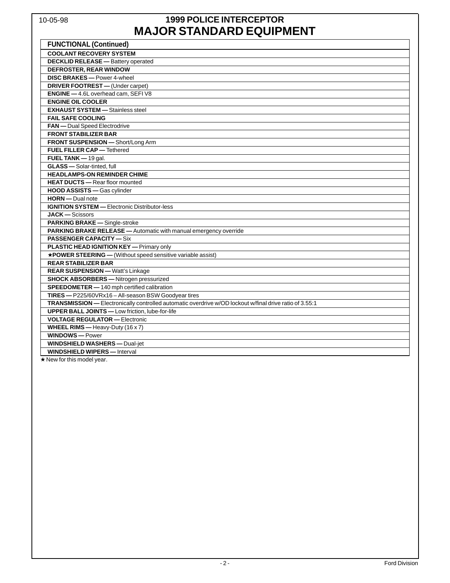# 10-05-98 **1999 POLICE INTERCEPTOR MAJOR STANDARD EQUIPMENT**

| <b>FUNCTIONAL (Continued)</b>                                                                           |
|---------------------------------------------------------------------------------------------------------|
| <b>COOLANT RECOVERY SYSTEM</b>                                                                          |
| <b>DECKLID RELEASE</b> - Battery operated                                                               |
| <b>DEFROSTER, REAR WINDOW</b>                                                                           |
| DISC BRAKES - Power 4-wheel                                                                             |
| DRIVER FOOTREST - (Under carpet)                                                                        |
| ENGINE - 4.6L overhead cam, SEFIV8                                                                      |
| <b>ENGINE OIL COOLER</b>                                                                                |
| <b>EXHAUST SYSTEM - Stainless steel</b>                                                                 |
| <b>FAIL SAFE COOLING</b>                                                                                |
| <b>FAN</b> - Dual Speed Electrodrive                                                                    |
| <b>FRONT STABILIZER BAR</b>                                                                             |
| FRONT SUSPENSION - Short/Long Arm                                                                       |
| <b>FUEL FILLER CAP - Tethered</b>                                                                       |
| FUEL TANK - 19 gal.                                                                                     |
| <b>GLASS</b> - Solar-tinted, full                                                                       |
| <b>HEADLAMPS-ON REMINDER CHIME</b>                                                                      |
| <b>HEAT DUCTS</b> - Rear floor mounted                                                                  |
| HOOD ASSISTS - Gas cylinder                                                                             |
| <b>HORN</b> - Dual note                                                                                 |
| <b>IGNITION SYSTEM - Electronic Distributor-less</b>                                                    |
| <b>JACK</b> - Scissors                                                                                  |
| PARKING BRAKE - Single-stroke                                                                           |
| PARKING BRAKE RELEASE - Automatic with manual emergency override                                        |
| <b>PASSENGER CAPACITY — Six</b>                                                                         |
| <b>PLASTIC HEAD IGNITION KEY</b> — Primary only                                                         |
| *POWER STEERING - (Without speed sensitive variable assist)                                             |
| <b>REAR STABILIZER BAR</b>                                                                              |
| <b>REAR SUSPENSION - Watt's Linkage</b>                                                                 |
| <b>SHOCK ABSORBERS</b> - Nitrogen pressurized                                                           |
| SPEEDOMETER - 140 mph certified calibration                                                             |
| TIRES - P225/60VRx16 - All-season BSW Goodyear tires                                                    |
| TRANSMISSION - Electronically controlled automatic overdrive w/OD lockout w/final drive ratio of 3.55:1 |
| <b>UPPER BALL JOINTS</b> - Low friction, lube-for-life                                                  |
| <b>VOLTAGE REGULATOR - Electronic</b>                                                                   |
| <b>WHEEL RIMS</b> - Heavy-Duty $(16 \times 7)$                                                          |
| <b>WINDOWS-Power</b>                                                                                    |
| <b>WINDSHIELD WASHERS - Dual-jet</b>                                                                    |
| <b>WINDSHIELD WIPERS</b> - Interval                                                                     |

★ New for this model year.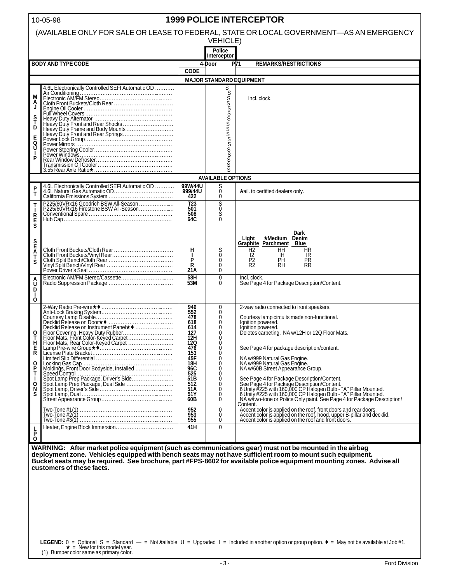| <b>1999 POLICE INTERCEPTOR</b><br>10-05-98                                              |                                                                                                                                     |                                                                                                                     |                                                                                                                                         |                                                                                                                                                                                                                                                                                                                                                                                                                                                                                                                                                                                       |  |  |  |  |  |
|-----------------------------------------------------------------------------------------|-------------------------------------------------------------------------------------------------------------------------------------|---------------------------------------------------------------------------------------------------------------------|-----------------------------------------------------------------------------------------------------------------------------------------|---------------------------------------------------------------------------------------------------------------------------------------------------------------------------------------------------------------------------------------------------------------------------------------------------------------------------------------------------------------------------------------------------------------------------------------------------------------------------------------------------------------------------------------------------------------------------------------|--|--|--|--|--|
| (AVAILABLE ONLY FOR SALE OR LEASE TO FEDERAL, STATE OR LOCAL GOVERNMENT-AS AN EMERGENCY |                                                                                                                                     |                                                                                                                     |                                                                                                                                         |                                                                                                                                                                                                                                                                                                                                                                                                                                                                                                                                                                                       |  |  |  |  |  |
|                                                                                         | <b>VEHICLE)</b><br><b>Police</b>                                                                                                    |                                                                                                                     |                                                                                                                                         |                                                                                                                                                                                                                                                                                                                                                                                                                                                                                                                                                                                       |  |  |  |  |  |
|                                                                                         | <b>BODY AND TYPE CODE</b>                                                                                                           |                                                                                                                     | Interceptor                                                                                                                             |                                                                                                                                                                                                                                                                                                                                                                                                                                                                                                                                                                                       |  |  |  |  |  |
|                                                                                         |                                                                                                                                     | <b>CODE</b>                                                                                                         | 4-Door                                                                                                                                  | P71<br><b>REMARKS/RESTRICTIONS</b>                                                                                                                                                                                                                                                                                                                                                                                                                                                                                                                                                    |  |  |  |  |  |
|                                                                                         |                                                                                                                                     |                                                                                                                     |                                                                                                                                         | <b>MAJOR STANDARD EQUIPMENT</b>                                                                                                                                                                                                                                                                                                                                                                                                                                                                                                                                                       |  |  |  |  |  |
| М<br>Ĵ<br>s<br>T<br>D<br>Е<br>Q<br>U                                                    | 4.6L Electronically Controlled SEFI Automatic OD<br>Air Conditioning<br>Electronic AM/FM Stereo.                                    |                                                                                                                     | ოთოთოთო <sup>თოთო</sup> თოოთო                                                                                                           | Incl. clock.                                                                                                                                                                                                                                                                                                                                                                                                                                                                                                                                                                          |  |  |  |  |  |
|                                                                                         |                                                                                                                                     |                                                                                                                     |                                                                                                                                         |                                                                                                                                                                                                                                                                                                                                                                                                                                                                                                                                                                                       |  |  |  |  |  |
|                                                                                         |                                                                                                                                     |                                                                                                                     | <b>AVAILABLE OPTIONS</b>                                                                                                                |                                                                                                                                                                                                                                                                                                                                                                                                                                                                                                                                                                                       |  |  |  |  |  |
| $\frac{P}{T}$                                                                           |                                                                                                                                     | 99W/44U<br>999/44U<br>422                                                                                           | S<br>Ō<br>0                                                                                                                             | Arail. to certified dealers only.                                                                                                                                                                                                                                                                                                                                                                                                                                                                                                                                                     |  |  |  |  |  |
| T<br>R<br>E<br>S                                                                        | P225/60VRx16 Goodrich BSW All-Season<br>P225/60VRx16 Firestone BSW All-Season                                                       | $\overline{123}$<br>501<br>508<br>64C                                                                               | Soco<br>So                                                                                                                              |                                                                                                                                                                                                                                                                                                                                                                                                                                                                                                                                                                                       |  |  |  |  |  |
| <b>SEAT</b><br>S<br>ô                                                                   |                                                                                                                                     | н<br>$\mathbf{I}$<br>P<br>R<br>21A<br>$\frac{58H}{53M}$                                                             | $\frac{S}{0}$<br>$\bar{0}$<br>$\Omega$<br>$\pmb{0}$<br>$\Omega$                                                                         | <b>Dark</b><br>★Medium Denim<br>Light<br><b>Graphite Parchment</b><br>Blue<br>H <sub>2</sub><br>HΗ<br>HR<br>12<br>IR<br>IH.<br>$\overline{R_2}$<br>PR<br>RR<br>PH<br>RH<br>Incl. clock.<br>See Page 4 for Package Description/Content.                                                                                                                                                                                                                                                                                                                                                |  |  |  |  |  |
| D<br>O                                                                                  |                                                                                                                                     |                                                                                                                     |                                                                                                                                         |                                                                                                                                                                                                                                                                                                                                                                                                                                                                                                                                                                                       |  |  |  |  |  |
| 0<br>Ť,<br>Е<br>R<br>O<br>P<br>Т<br>О<br>N                                              |                                                                                                                                     | 946<br>552<br>478<br>618<br>614<br>127<br>12H<br>12Q<br>476<br>153<br>45F<br>18H<br>96C<br>525<br>51B<br>51Z<br>51A | $^0_0$<br>$\overline{0}$<br>$\bar{0}$<br>$\overline{0}$<br>$\mathbf{0}$<br>0<br>$\overline{0}$<br>$\bar{0}$<br>$\overline{0}$<br>000000 | 2-way radio connected to front speakers.<br>Courtesy lamp circuits made non-functional.<br>Ignition powered.<br>Ignition powered.<br>Deletes carpeting. NA w/12H or 12Q Floor Mats.<br>See Page 4 for package description/content.<br>NA w/999 Natural Gas Engine.<br>NA w/999 Natural Gas Engine.<br>NA w/60B Street Appearance Group.<br>See Page 4 for Package Description/Content.<br>See Page 4 for Package Description/Content.<br>6 Unity #225 with 160,000 CP Halogen Bulb - "A" Pillar Mounted.<br>6 Unity #225 with 160,000 CP Halogen Bulb - "A" Pillar Mounted.<br>NA w/t |  |  |  |  |  |
| S                                                                                       |                                                                                                                                     | 51Y<br>60B<br>952<br>953<br>955                                                                                     | Ō<br>0<br>0<br>0<br>0                                                                                                                   | Content.<br>Accent color is applied on the roof, front doors and rear doors.<br>Accent color is applied on the roof, hood, upper B-pillar and decklid.<br>Accent color is applied on the roof and front doors.                                                                                                                                                                                                                                                                                                                                                                        |  |  |  |  |  |
| 닑<br>O                                                                                  |                                                                                                                                     | 41H                                                                                                                 | $\mathbf 0$                                                                                                                             |                                                                                                                                                                                                                                                                                                                                                                                                                                                                                                                                                                                       |  |  |  |  |  |
|                                                                                         | WARNING: After market police equipment (such as communications gear) must not be mounted in the airbag<br>customers of these facts. |                                                                                                                     |                                                                                                                                         | deployment zone. Vehicles equipped with bench seats may not have sufficient room to mount such equipment.<br>Bucket seats may be required. See brochure, part #FPS-8602 for available police equipment mounting zones. Advise all<br>LEGEND: $0 =$ Optional S = Standard - = Not Aailable U = Upgraded I = Included in another option or group option. $\bullet$ = May not be available at Job #1.                                                                                                                                                                                    |  |  |  |  |  |

<del>LEGEND:</del>  $0 =$  Optional S = Standard<br>  $\star$  = New for this model year.<br>
(1) Bumper color same as primary color.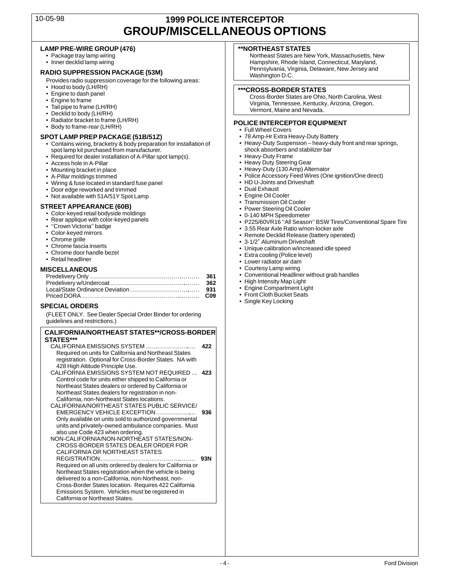### 10-05-98 **1999 POLICE INTERCEPTOR GROUP/MISCELLANEOUS OPTIONS**

### LAMP PRE-WIRE GROUP (476) **A CONTROLLY ASSESSED ASSESSED** A CONTROLLY AND ASSESSED A LAMP ON THE STATES

- 
- 

- **RADIO SUPPRESSION PACKAGE (53M)** Provides radio suppression coverage for the following areas:<br>Provides radio suppression coverage for the following areas:<br>Provides radio suppression coverage for the following areas:<br>Final
- 
- 
- 
- 
- 
- 
- 

- **SPOT LAMP PREP PACKAGE (51B/51Z)** 78 Amp-Hr Extra Heavy-Duty Battery<br>• Contains wiring, bracketry & body preparation for installation of Heavy-Duty Suspension heavy-duty front and rear springs, • Contains wiring, bracketry & body preparation for installation of • Heavy-Duty Suspension – heavy-duty front and rear springs, spot lamp kit purchased from manufacturer.<br>
Required for dealer installation of A-Pillar spot lamp(s).<br>
• Heavy-Duty Frame
	- Required for dealer installation of A-Pillar spot lamp(s).<br>• Access hole in A-Pillar
	-
	-
	-
- Wiring & fuse located in standard fuse panel HD U-Joints and trimmed Dual Exhaust Dual Exhaust
- 
- Door edge reworked and trimmed<br>• Not available with 51A/51Y Spot Lamp • Not available with 51A/51Y Spot Lamp • Engine Oil Cooler

- 
- 
- 
- 
- 
- 
- 
- 

### **MISCELLANEOUS** • Courtesy Lamp wiring

### **SPECIAL ORDERS**

(FLEET ONLY. See Dealer Special Order Binder for ordering guidelines and restrictions.)

### **CALIFORNIA/NORTHEAST STATES\*\*/CROSS-BORDER STATES\*\*\***

| CALIFORNIA EMISSIONS SYSTEM<br>Required on units for California and Northeast States<br>registration. Optional for Cross-Border States. NA with<br>428 High Altitude Principle Use.                                                                                                                                                                                                                   | 422 |
|-------------------------------------------------------------------------------------------------------------------------------------------------------------------------------------------------------------------------------------------------------------------------------------------------------------------------------------------------------------------------------------------------------|-----|
| CALIFORNIA EMISSIONS SYSTEM NOT REQUIRED<br>Control code for units either shipped to California or<br>Northeast States dealers or ordered by California or<br>Northeast States dealers for registration in non-<br>California, non-Northeast States locations.                                                                                                                                        | 423 |
| CALIFORNIA/NORTHEAST STATES PUBLIC SERVICE/<br>EMERGENCY VEHICLE EXCEPTION<br>Only available on units sold to authorized governmental<br>units and privately-owned ambulance companies. Must<br>also use Code 423 when ordering.<br>NON-CALIFORNIA/NON-NORTHEAST STATES/NON-                                                                                                                          | 936 |
| CROSS-BORDER STATES DEALER ORDER FOR<br>CALIFORNIA OR NORTHEAST STATES<br>Required on all units ordered by dealers for California or<br>Northeast States registration when the vehicle is being<br>delivered to a non-California, non-Northeast, non-<br>Cross-Border States location. Requires 422 California<br>Emissions System. Vehicles must be registered in<br>California or Northeast States. | 93N |

• Package tray lamp wiring Northeast States are New York, Massachusetts, New York, Massachusetts, New York, Massachusetts, New Work, Massachusetts, New York, Massachusetts, New York, Marviand. Hampshire, Rhode Island, Connecticut, Maryland,<br>Pennsylvania, Virginia, Delaware, New Jersey and

• Hood to body (LH/RH)<br>
• Engine to dash panel<br>
• Engine to frame<br>
• Tail pipe to frame (LH/RH)<br>
• Decklid to body (LH/RH)<br>
• Decklid to body (LH/RH)<br>
• Decklid to body (LH/RH)<br>
• Decklid to body (LH/RH)

# • Radiator bracket to frame (LH/RH) **POLICE INTERCEPTOR EQUIPMENT**<br>• Body to frame-rear (LH/RH) **• Political Covers**<br>• POT LAMP PREP PACKAGE (51B/51Z) • 78 Amp-Hr Extra Heavy-Duty Battery

- 
- 
- 
- 
- 
- Access hole in A-Pillar Heavy Duty Steering Gear<br>• Access hole in A-Pillar Heavy Duty Steering Gear<br>• Mounting bracket in place Heavy-Duty (130 Amp) Alte
- Mounting bracket in place example and the state of the state of the Heavy-Duty (130 Amp) Alternator<br>• A-Pillar moldings trimmed example and the state of the Police Accessory Feed Wires (On • Police Accessory Feed Wires (One ignition/One direct)<br>• HD U-Joints and Driveshaft
	-
	-
	-
	-
	-
	-
- STREET APPEARANCE (60B)<br>
 Color-keyed retail bodyside moldings<br>
 Rear applique with color-keyed panels<br>
 "Crown Victoria" badge<br>
 Color-keyed mirors<br>
 Color-keyed mirors<br>
 Color-keyed mirors<br>
 Color-keyed mirors<br>
	-
	-
	-
	-
	-
	-
	-
	- $\bullet$  Conventional Headliner without grab handles
	- High Intensity Map Light
	- $\bullet$  Engine Compartment Light
	- Front Cloth Bucket Seats<br>• Single Key Locking
	-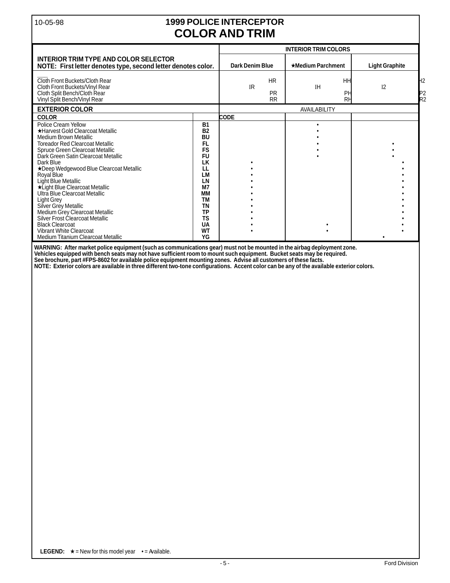# 10-05-98 **1999 POLICE INTERCEPTOR COLOR AND TRIM**

|                                                                                                                                                                                                                                                                                                                                                                                                                                              |                                                                                                                                                                                 | <b>INTERIOR TRIM COLORS</b> |                                     |                       |                       |                                   |
|----------------------------------------------------------------------------------------------------------------------------------------------------------------------------------------------------------------------------------------------------------------------------------------------------------------------------------------------------------------------------------------------------------------------------------------------|---------------------------------------------------------------------------------------------------------------------------------------------------------------------------------|-----------------------------|-------------------------------------|-----------------------|-----------------------|-----------------------------------|
| <b>INTERIOR TRIM TYPE AND COLOR SELECTOR</b><br>NOTE: First letter denotes type, second letter denotes color.                                                                                                                                                                                                                                                                                                                                | <b>Dark Denim Blue</b><br>$\star$ Medium Parchment                                                                                                                              |                             |                                     | <b>Light Graphite</b> |                       |                                   |
| Cloth Front Buckets/Cloth Rear<br>Cloth Front Buckets/Vinyl Rear<br>Cloth Split Bench/Cloth Rear<br>Vinyl Split Bench/Vinyl Rear                                                                                                                                                                                                                                                                                                             |                                                                                                                                                                                 | <b>IR</b>                   | <b>HR</b><br><b>PR</b><br><b>RR</b> | <b>IH</b>             | HH<br>PH<br><b>RH</b> | H2<br>I <sub>2</sub><br>IP2<br>R2 |
| <b>EXTERIOR COLOR</b>                                                                                                                                                                                                                                                                                                                                                                                                                        |                                                                                                                                                                                 |                             |                                     | AVAILABILITY          |                       |                                   |
| <b>COLOR</b>                                                                                                                                                                                                                                                                                                                                                                                                                                 |                                                                                                                                                                                 | CODE                        |                                     |                       |                       |                                   |
| Police Cream Yellow<br>★Harvest Gold Clearcoat Metallic<br>Medium Brown Metallic<br><b>Toreador Red Clearcoat Metallic</b><br>Spruce Green Clearcoat Metallic<br>Dark Green Satin Clearcoat Metallic<br>Dark Blue<br>★Deep Wedgewood Blue Clearcoat Metallic<br>Royal Blue<br>Light Blue Metallic<br>*Light Blue Clearcoat Metallic<br>Ultra Blue Clearcoat Metallic<br>Light Grey<br>Silver Grey Metallic<br>Medium Grey Clearcoat Metallic | <b>B1</b><br><b>B2</b><br><b>BU</b><br><b>FL</b><br><b>FS</b><br><b>FU</b><br>LK<br>LL<br><b>LM</b><br>LN<br>M <sub>7</sub><br><b>MM</b><br><b>TM</b><br><b>TN</b><br><b>TP</b> |                             |                                     |                       |                       |                                   |
| Silver Frost Clearcoat Metallic<br><b>Black Clearcoat</b><br>Vibrant White Clearcoat<br>Medium Titanium Clearcoat Metallic                                                                                                                                                                                                                                                                                                                   | <b>TS</b><br><b>UA</b><br><b>WT</b><br>YG                                                                                                                                       |                             |                                     |                       |                       |                                   |

**WARNING: After market police equipment (such as communications gear) must not be mounted in the airbag deployment zone. Vehicles equipped with bench seats may not have sufficient room to mount such equipment. Bucket seats may be required. See brochure, part #FPS-8602 for available police equipment mounting zones. Advise all customers of these facts.**

**NOTE: Exterior colors are available in three different two-tone configurations. Accent color can be any of the available exterior colors.**